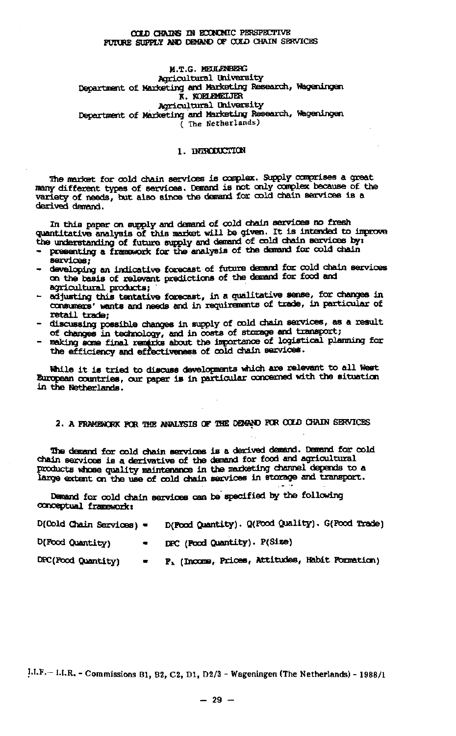## **CCLD CHAINS** *m* **BOONCHIC PERSPECTIVE**  FUTORE SUPPLY AND DEMAND OF COLD CHAIN SERVICES

#### M.T.G. HEULENBERG Agricultural University Department of Marketing awl Marketing Research, Wageningen K. KDELEMEIJER Agricultural University Départirent of Marketing and Marketing Research, Wageningen ( The Netherlands)

## 1. INIBODUCTICN

The market for cold chain services is complex. Supply comprises a great many different types of services. Demand is not only complex because of the variety of needs, but also since the demand for cold chain services is a derived demand.

In this paper on supply and demand of cold chain services no fresh quantitative analysis of this market will be given. It is intended to improve the understanding of future supply and demand of cold chain  $s$ 

- presenting a framework for the analysis of the demand f services;
- developing an indicative forecast of future demand for cold chain services on the basis of relevant predictions of the demand for food and agricultural products; '
- adjusting this tentative forecast, in a qualitative sense, for changes in consumers' wants and needs and in requirements of trade, in particular of
- discussing possible changes in supply of cold chain services, as a result - discussing possible changes in supply of cold chain services, as a result
- of changes in technology, and in costs of storage and<br>making some final worders about the importance of 100  $\frac{1}{2}$  sans final remarks about the importance of wight  $\frac{1}{2}$ the efficiency and effectiveness of complements.

While it is tried to discuss developments which are relevant to all West European countries, our paper is in particular concerned with the situation in the Netherlands.

# 2. A FRAMEWORK FCR THE ANALYSIS OF THE DEMAND PCR CCUD CHAIN SERVICES

The demand for cold chain services is a derived demand. Demand for cold chain services is a derivative of the demand for food and agricultural products whose quality maintenance in the marketing channel depends to a large extent on the use of cold chain services in storage and transport.

Demand for cold chain services can be specified by the following conceptual framework:

| $D(Cold Chain Services) =$                              | D(Food Quantity). Q(Food Quality). G(Food Trade)   |
|---------------------------------------------------------|----------------------------------------------------|
| D(Food Quantity)<br>$\blacksquare$                      | DPC (Pood Quantity). P(Size)                       |
| DFC(Food Quantity)<br><b>Contract Contract Contract</b> | $P_k$ (Income, Prices, Attitudes, Habit Formation) |

 $1.1.F. - 1.1.R. - Commissions B1, B2, C2, D1, D2/3 - Wageningen (The Netherlands) - 1988/1$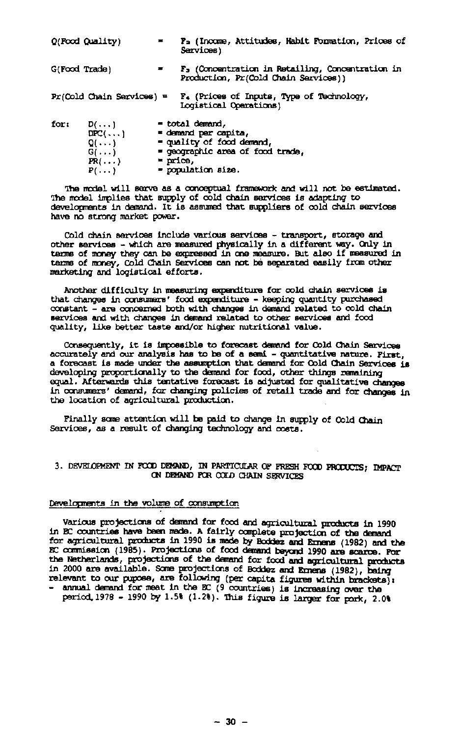| Q(Food Quality) |                                                                                           |               | P <sub>2</sub> (Income, Attitudes, Habit Formation, Prices of<br>Services)                                                     |
|-----------------|-------------------------------------------------------------------------------------------|---------------|--------------------------------------------------------------------------------------------------------------------------------|
| G(Food Trade)   |                                                                                           |               | F. (Concentration in Retailing, Concentration in<br>Production, Pr(Cold Chain Services))                                       |
|                 | $Pr(Cold Chain Services) =$                                                               |               | F. (Prices of Inputs, Type of Technology,<br><b>Logistical Operations</b> )                                                    |
| for:            | $D(\ldots)$<br>$DEC(\ldots)$<br>$Q(\ldots)$<br>$G(\ldots)$<br>$PR(\ldots)$<br>$P(\ldots)$ | $=$ $prime$ , | = total demand,<br>= demand par capita,<br>= quality of food demand,<br>= geographic area of food trade.<br>= population size. |

The model will serve as a conceptual framework and will not be estimated. The model implies that supply of cold chain services is adapting to developments in demand. It is assumed that suppliers of cold chain services have no strong market power.

Cold chain services include various services - transport, storage and other services - which are measured physically in a different way. Only in terms of money they can be expressed in one measure. But also if measured in terms of money, Cold Chain Services can not be separated easily from other marketing and logistical efforts.

Another difficulty in measuring expenditure for cold chain services is that changes in consumers' food expenditure - keeping quantity purchased constant - are concerned both with changes in demand related to cold chain services and with changes in demand related to other services and food quality, like better taste and/or higher nutritional value.

Consequently, it is impossible to forecast demand for Cold Chain Services accurately and our analysis has to be of a semi - quantitative nature. First, a forecast is made under the assumption that demand for Cold Chain Services is developing proportionally to the demand for food, other things remaining equal. Afterwards this tentative forecast is adjusted for qualitative changes in consumers' demand, for changing policies of retail trade and for changes in the location of agricultural production.

Finally some attention will be paid to change in supply of Cold Chain Services, as a result of changing technology and costs.

# 3. DEVELOPMENT IN FOOD DEMAND, IN PARTICULAR OF FRESH FOOD PRODUCTS; IMPACT ON DEMAND FOR COLD CHAIN SERVICES

## Developments in the volume of consumption

Various projections of demand for food and agricultural products in 1990 in EC countries have been made. A fairly complete projection of the demand for agricultural products in 1990 is made by Bcddez and Ernens (1982) and the EC carmission (1985). Projections of food demand beyond 1990 are scarce. For the Netherlands, projections of the demand for food and agricultural products in 2000 are available. Some projections of Boddez and Ernens (1982), being relevant to our pupoee, are following (per capita figures within brackets): - annual demand for meat in the EC (9 countries) is increasing over the period.1978 - 1990 by 1.5%  $(1.2)$ . This figure is larger for pork, 2.0%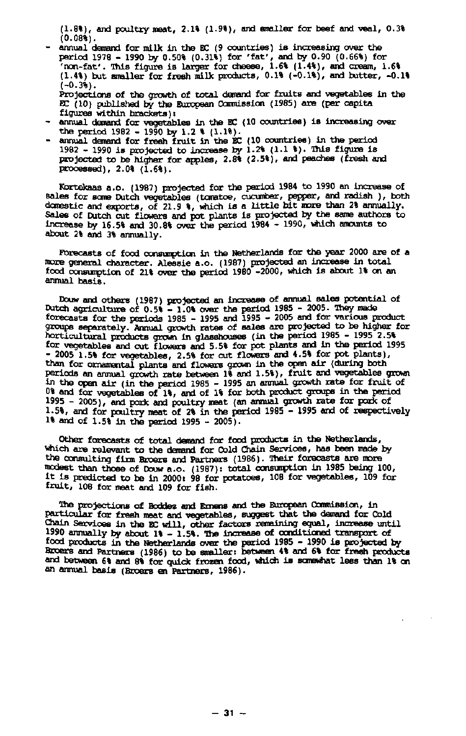(1.8%), and poultry neat, 2.1% (1.9%), and smaller for beef and veal, 0.3% (0.08%).

- annual demand for milk in the EC (9 countries) is increasing over the period 1978 - 1990 by 0.50% (0.31%) for 'fat', and by 0.90 (0.66%) for 'non-fat'. This figure is larger for cheese,  $1.6$ %  $(1.4$ %), and cream,  $1.6$ % (1.4%) but smaller for fresh milk products, 0.1% (-0.1%), and butter, -0.1%  $(-0.3)$ . Projections of the growth of total demand for fruits and vegetables in the HC (10) published by the European Conmission (1985) are (per capita figures within brackets):
- $-$  annual demand for vegetables in the EC (10 countries) is inc the period 1982 - 1990 by 1.2 %
- annual demand for fresh fruit in the EC (10 countries) in the period 1982 - 1990 is projected to increase by  $1.2$  (1.1  $)$ ). This figure is projected to be higher for apples, 2.8% (2.5%), and peaches (fresh and processed),  $2.0%$   $(1.6%)$ .

Kortekaas a.o. (1987) projected for the period 1984 to 1990 an increase of sales for some Dutch vegetables (tomatoe, cucumber, pepper, and radish ), both domestic and exports, of 21.9 %, which is a little bit more than 2% annually. Sales of Dutch cut flowers and pot plants is projected by the same authors to increase by 16.5% and 30.8% over the period 1984 - 1990, which amounts to about 2% and 3% annually.

*Forecasts* of food consumption in the Netherlands for the year 2000 are of a mare general character. Alessie a.o. (1987) projected an increase in total food consumption of 21% over the period 1980 -2000, which is about 1% on an annual basis.

Douw and others (1987) projected an increase of annual sales p Dutch agriculture of  $0.5$ % - 1.0% over the period 1985 - 20 <code>forecasts</code> for the periods 1985 - 1995 and 1995 - 2005 and for  $\eta$ groups separately. Annual growth rates of sales are projected to be higher for horticultural products grown in glasshouses (in the period 1985 - 1995 2.5% for vegetables and cut flowers and 5.5% for pot plants and in the period 1995 - 2005 1.5% for vegetables, 2.5% for cut flowers and 4.5% for pot plants), than for ornamental plants and flowers grown in the open air (during both periods an annual growth rate between 1% and 1.5%), fruit and vegetables grown in the open air (in the period 1985 - 1995 an annual growth  $\overline{\phantom{a}}$ <sup>U%</sup> and for vegetables of 1%, and of 1% for both product group 1995 - 2005), and pork and poultry meat (an annual growth rate for pork of 1.5%, and for poultry neat of 2% in the period 1985 - 1995 and of respectively 1% and of 1.5% in the period 1995 - 2005).

Other forecasts of total demand for food products in the Netherlands, which are relevant to the demand for Cold Chain Services, has been made by the consulting firm Broers and Partners (1986). Their forecasts are more modest than those of Douw a.o. (1987): total consumption in 1985 being 100,  $\scriptstyle\rm I$ t is predicted to be in 2000: 98 for potatoes, 108 for veget fruit, 108 for meat and 109 for fish.

The projections of Boddez and Emens and the European Conmission, in particular for fresh meat and vegetables, suggest that the demand for Cold Chain Services in the EC will, other factors remaining equal, increase until 1990 annually by about 1% - 1.5%. The increase of conditioned transport of food products in the Netherlands over the period 1985 - 1990 is projected by Broers and Partners (1986) to be smaller: between 4% and 6% for fresh products and between 6% and 8% for quick frozen food, which is somewhat less than 1% on an annual basis (Broers en Partners, 1986).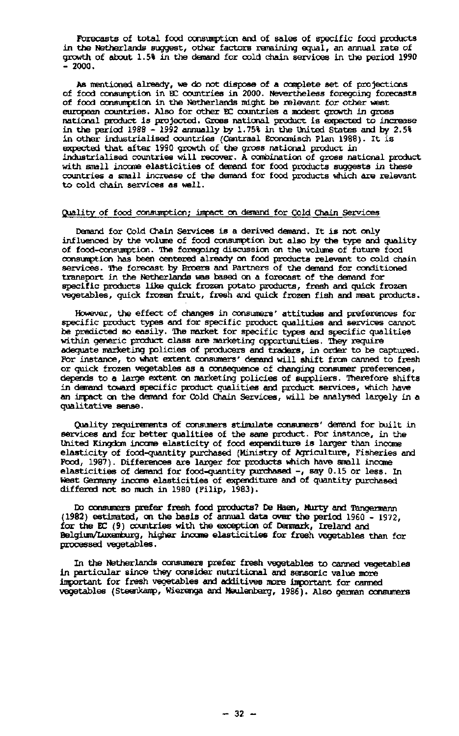Forecasts of total food consumption and of sales of specific food products in the Netherlands suggest, other factors remaining equal, an annual rate of growth of about 1.5% in the demand for cold chain services in the period 1990  $-2000.$ 

As mentioned already, we do not dispose of a complete set of projections of food consumption in EC countries in 2000. Nevertheless foregoing forecasts of food consumption in the Netherlands might be relevant for other west european countries. Also for other EC countries a modest growth in gross national product is projected. Gross national product is expected to increase in the period 1988 - 1992 annually by 1.75% in the united States and by 2.5% in other industrialised countries (Centraal Economisch Plan 1988). It<br>expected that after 1990 growth of the gross national product in<br>industrialised countries will recover. A combination of gross nationa with small income elasticities of demand for food products suggests in these countries a small increase of the demand for food products which are relevant to cold chain services as well.

## Quality of food consumption; impact on demand for Cold Chain Services

Demand for Cold Chain Services is a derived demand. It is not only influenced by the volume of food consumption but also by the type and quality of food-consumption. The foregoing discussion on the volume of future food consumption has been centered already on food products relevant to cold chain services. The forecast by Broers and Partners of the demand for conditioned transport in the Netherlands was based on a forecast of the deman<br>specific products like quick frozen potato products, fresh and qu vegetables, quick frozen fruit, fresh and quick frozen fish and meat products.

However, the effect of changes in consumers' attitudes and preferences for specific product types and for specific product qualities and services cannot be predicted so easily. The market for specific types and specific qualities within generic product class are marketing opportunities. They require adequate marketing policies of producers and traders, in order to be captured. For instance, to what extent consumers' demand will shift from canned to fresh or quick frozen vegetables as a consequence of changing consumer preferences, depends to a large extent on marketing policies of suppliers. There in demand toward specific product qualities and product services, which have an impact on the demand for Cold Chain Services, will be analysed largely in a qualitative sense.

Quality requirements of consumers stimulate consumers' demand for built in services and for better qualities of the same product. For instance, in the United Kingdom income elasticity of food expenditure is larger than income elasticity of food-quantity purchased (Ministry of Agriculture, Fisheries and Food, 1987). Differences are larger for products which have small income elasticities of demand for food-quantity purchased -, say 0.15 or less. In West Germany income elasticities of expenditure and of quantity purchased differed not so much in 1980 (Filip, 1983).

Do consumers prefer fresh food products? De Haen, Murty and Tangermann (1982) estimated, on the basis of annual data over the period 1960 - 1972, for the EC (9) countries with the exception of Denmark, Ireland and BelgiumAüxemburg, higher income elasticities for fresh vegetables than for processed vegetables.

In the Netherlands consumers prefer fresh vegetables to canned vegetables in particular since they consider nutritional and sensoric value more important for fresh vegetables and additives more important for canned vegetables (Steenkamp, Wierenga and Meulenberg, 1986). Also german consumers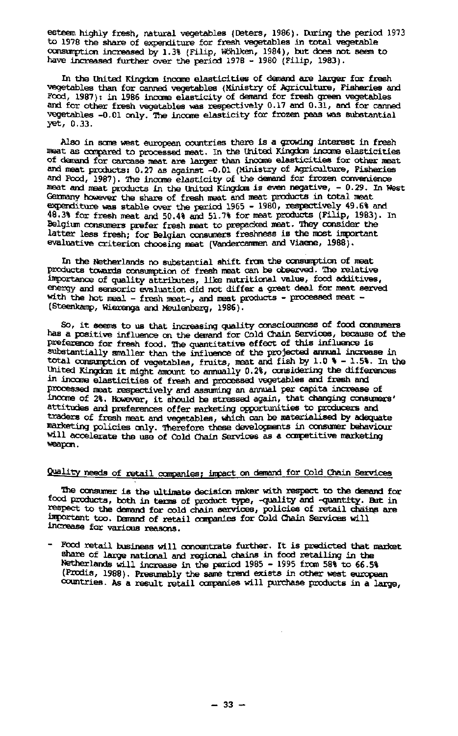esteem highly fresh, natural vegetables (Deters, 1986). During the period 1973 to 1978 the share of expenditure for fresh vegetables in total vegetable consumption increased by 1.3% (Filip, Höhlten, 1984), but does not seem to have increased further over the period 1978 - 1980 (Filip, 1983).

In the United Kingdom income elasticities of demand are larger for fresh vegetables than for canned vegetables (Ministry of Agriculture, Fisheries and Food, 1987): in 1986 income elasticity of demand for fresh green vegetables and for other fresh vegetables was respectively 0.17 and 0.31, and for canned vegetables -0.01 only. The income elasticity for frozen peas was substantial yet, 0.33.

Also in some west european countries there is a growing interest in fresh neat as compared to processed neat. In the United Kingdom income elasticities of demand for carcase meat are larger than income elasticities for other neat and maat products: 0.27 as against -0.01 (Ministry of Agriculture, Fisheries and Food, 1987). The income elasticity of the demand for frozen convenience meat and meat products in the United Kingdom is even negative, - 0.29. In West Germany however the share of fresh meat and meat products in total meat expenditure was stable over the period 1965 - 1980, respectively 49.6% and 48.3% for fresh maat and 50.4% and 51.7% for meat products (Filip, 1983). In Belgium consumers prefer fresh meat to prepacked meat, They consider the latter less fresh; for Belgian consumers freshness is the most important evaluative criterion choosing meat (Vandercantnen and Viaene, 1988).

In the Netherlands no substantial shift from the consumption of meat products towards consumption of fresh meat can be observed, The relative importance of quality attributes, lite nutritional value, food additives, energy and sensoric evaluation did not differ a great deal for meat served with the hot meal - fresh meat-, and meat products - processed meat -(Steenkamp, Wierenga and Meulenberg, 1986).

So, it seems to us that increasing quality consciousness of food consumers has a positive influence on the demand for Cold Chain Services, because of the preference for fresh food. The quantitative effect of this influence is substantially smaller than the influence of the projected annual increase in total consumption of vegetables, fruits, meat and fish by 1.0 % - 1.5%. In the United Kingdom it might amount to annually 0.2%, considering the differences in income elasticities of fresh and processed vegetables and fresh and Processed meat respectively and assuming an annual per capita increase of income of 2%. However, it should be stressed again, that changing<br>attitudes and preferences offer marketing opportunities to produc traders of fresh meat and vegetables, which can be materialised by adequate marketing policies only. Therefore these developments in consumer behaviour will accelerate the use of Cold Chain Services as a competitive marketing weapon.

# Quality needs of retail companies; impact on demand for Cold Chain Services

The consumer is the ultimate decision maker with respect to the demand for rood products, both in terms of product type, -quality and -quan<br>respect to the demand for cold chain services, policies of retai important too. Demand of retail companies for Cold Chain Services will increase for various reasons.

Food retail business will concentrate further. It is predicted that market share of large national and regional chains in food retailing in the Netherlands will increase in the period 1985 - 1995 from 58% to 66.5% (Prodis, 1988). Presumably the same trend exists in other west european countries. As a result retail companies will purchase products in a large,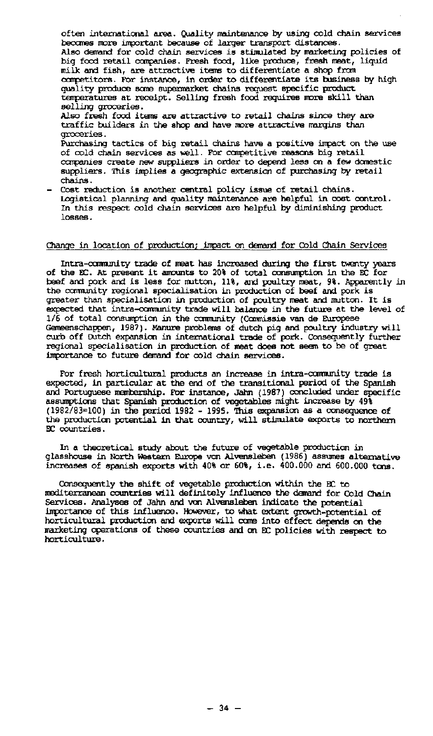often international area. Quality mintenance by using cold chain services becomes more important because of larger transport distances. Also demand for cold chain services is stimulated by marketing policies of big food retail companies. Fresh food, like produce, fresh meat, liquid milk and fish, are attractive items to differentiate a shop from competitors. For instance, in order to differentiate its business by high quality produce some supermarket chains request specific product temperatures at receipt. Selling fresh food requires more skill than selling groceries. Also fresh food items are attractive to retail chains since they are traffic builders in the shop and have more attractive margins than groceries. Purchasing tactics of big retail chains have a positive impact on the use of cold chain services as well. For competitive reasons big retail companies create new suppliers in order to depend less on a few domestic suppliers. This implies a geographic extension of purchasing by retail

chains. - Cost reduction is another central policy issue of retail chains. Logistical planning and quality maintenance are helpful in cost control. In this respect cold chain services are helpful by diminishing product losses.

### Change in location of production; impact on demand for Cold Chain Services

Intra-community trade of meat has increased during the first twenty years of the EC. At present it amounts to 20% of total consumption in the EC for beef and pork and is less for mutton, 11%, and poultry meat, 9%.<br>the community regional specialisation in production of beef and greater than specialisation in production of poultry meat and mutton. It is expected that intra-community trade will balance in the future at the level of 1/6 of total consumption in the community (Commissie van de Europes<br>Gemeenschappen, 1987). Manure problems of dutch pig and poultry ind curb off Dutch expansion in international trade of pork. Consequently further regional specialisation in production of meat does not seem to be of great importance to future demand for cold chain services.

For fresh horticultural products an increase in intra-ccmnunity trade is expected, in particular at the end of the transitional period of the Spanish and Portuguese membership. For instance, Jahn (1987) concluded under specific assumptions that Spanish production of vegetables might increase by 49% (1982/83=100) in the period 1982 - 1995. This expansion as a consequence of the production potential in that country, will stimulate exports to northern EC countries.

In a theoretical study about the future of vegetable production in glasshouse in North Western Europe von Alvensleben (1986) assumes alternative increases of Spanish exports with 40% or 60%, i.e. 400.000 and 600.000 tons.

Consequently the shift of vegetable production within the EC to mediterranean countries will definitely influence the demand for Cold Chain Services. Analyses of Jahn and von Alvensleben indicate the potential importance of this influence. However, to what extent growth-potential of horticultural production and exports will come into effect depends on the marketing operations of these countries and on EC policies with respect to horticulture.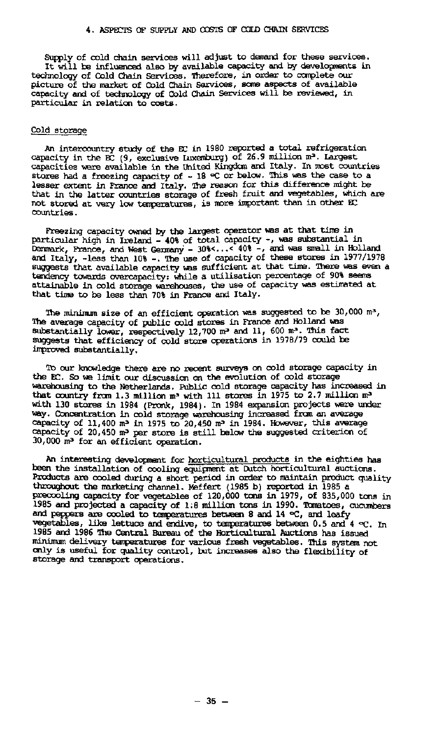Supply of cold chain services will adjust to demand for these services. It will be influenced also by available capacity and by developments in technology of Cold Chain Services. Therefore, in order to complete our picture of the market of Cold Chain Services, some aspects of available capacity and of technology of Cold Chain Services will be reviewed, in particular in relation to costs.

#### Cold storage

An intercountry study of the EC in 1980 reported a total refrigeration capacity in the EC (9, exclusive Luxemburg) of 26.9 million capacities were available in the United Kingdom and Italy. In most countries stores had a freezing capacity of - 18 °C or below. This was the case to a lesser extent in France and Italy. The reason for this difference might be that in the latter countries storage of fresh fruit and vegetables, which are not stored at very low temperatures, is more important than in other EC countries.

Freezing capacity owned by the largest operator was at that time in particular high in Ireland - 40% of total capacity -, was subst<br>Denmark, France, and West Germany - 30%<...< 40% -, and was sma and Italy, -less than 10% -. The use of capacity of these stores in 1977/1978 suggests that available capacity was sufficient at that time. There was even a tendency towards overcapacity: while a utilisation percentage of 90% seems attainable in cold storage warehouses, the use of capacity was estimated at that time to be less than 70% in France and Italy.

The minimum size of an efficient operation was suggested to  $\mathbf b$ The average capacity of public cold stores in France and Holland was substantially lower, respectively  $12,700$  m<sup>3</sup> and  $11$ ,  $600$  m<sup>3</sup>. suggests that efficiency of cold store operations in 1978/79 could be improved substantially.

To our knowledge there are no recent surveys on cold storage capacity in the EC. So we limit our discussion on the evolution of cold storage warehousing to the Netherlands. Public cold storage capacity has increased in that country from 1.3 million m<sup>3</sup> with 111 stores in 1975 to with 130 stores in 1984 (Pronk, 1984). In 1984 expansion projects were under way. Concentration in cold storage warehousing increased from an average capacity of 11,400 m<sup>3</sup> in 1975 to 20,450 m<sup>3</sup> in 1984. However, capacity of 20,450 m<sup>3</sup> per store is still below the suggested 30,000 m<sup>3</sup> for an efficient opera

An interesting development for horticultural products in the eighties has been the installation of cooling equipment at Dutch horticultural auctions. Products are cooled during a short period in order to maintain product quality throughout the marketing channel. Meffert (1985 b) reported in 198<br>precooling capacity for vegetables of 120,000 tons in 1979, of 838<br>1985 and projected a capacity of 1:8 million tons in 1990. Tomatos<br>and peppers are coole vegetables, like lettuce and endive, to temperatures between  $0.5$  and  $4 \ll$ . In 1985 and 1986 The Central Bureau of the Horticultural Auctions has issued minimum delivery temperatures for various fresh vegetables. This system not only is useful for quality control, but increases also the flexibility of storage and transport operations.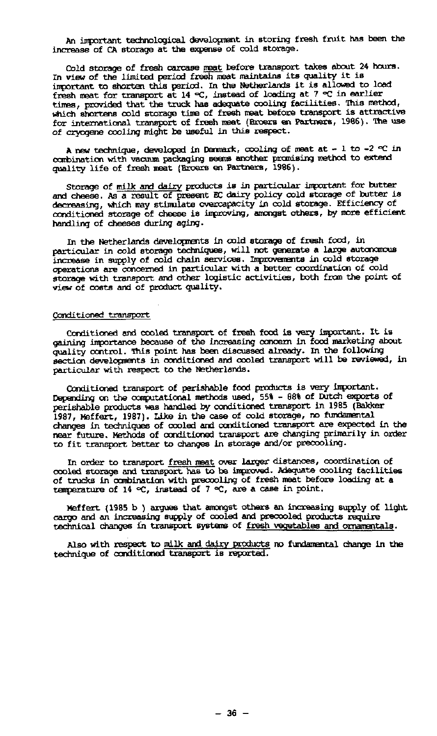An important technological development in storing fresh fruit has been the increase of CA storage at the expense of cold storage.

Cold storage of fresh carcase meat before transport takes about 24 hours. In view of the limited period fresh meat maintains its quality it is important to shorten this period. In the Netherlands it is allovœd to load fresh meat for transport at 14 °C, instead of loading at 7 °C in earlier times, provided that the truck has adequate cooling facilities, this method, which shortens cold storage time of fresh meat before transport is attractive for international transport of fresh meat (Broers en Partners, 1986). The use of cryogene cooling might be useful in this respect.

A new technique, developed in Denmark, cooling of meat at  $-1$  to  $-2 \leq \text{in}$ combination with vacuum packaging seems another promising method to extend quality life of fresh meat (Broers en Partners, 1986).

Storage of milk and dairy products is in particular important for butter and cheese. As a result of present EC dairy policy cold storage of butter is decreasing, which may stimulate overcapacity in cold storage. Efficiency of conditioned storage of cheese is improving, amongst others, by more efficient handling of cheeses during aging.

In the Netherlands developments in cold storage of fresh food, in particular in cold storage techniques, will not generate a large autonomous increase in supply of cold chain services. Improvements in cold storage operations are concerned in particular with a better coordination of cold storage with transport and other logistic activities, both from the point of view of costs and of product quality.

#### Conditioned transport

Conditioned and cooled transport of fresh food is very important. It is gaining importance because of the increasing concern in food marketing about quality control. This point has been discussed already. In the following section developments in conditioned and cooled transport will be reviewed, in particular with respect to the Netherlands.

Conditioned transport of perishable food products is very important. Depending on the computational methods used, 55% - 88% of Dutc perishable products was handled by conditioned transport in 198 1987, Meffert, 1987). Like in the case of cold storage, no fundamental changes in techniques of cooled and conditioned transport are expected in the near future. Methods of conditioned transport are changing primarily in order to fit transport better to changes in storage and/or precooling.

In order to transport <u>fresh meat</u> over larger distances, coordination of the storage and transport has to be improved. Adequate cooling of trucks in combination with preccoling of fresh meat before loading at a temperature of 14  $\infty$ , instead of 7  $\infty$ , are a case in point.

Meffert (1985 b ) argues that amongst others an increasing supply of light cargo and an increasing supply of cooled and precooled products require technical changes in transport systems of fresh vegetables and ornamentals.

Also with respect to milk and dairy products no fundamental change in the technique of conditioned transport is reported.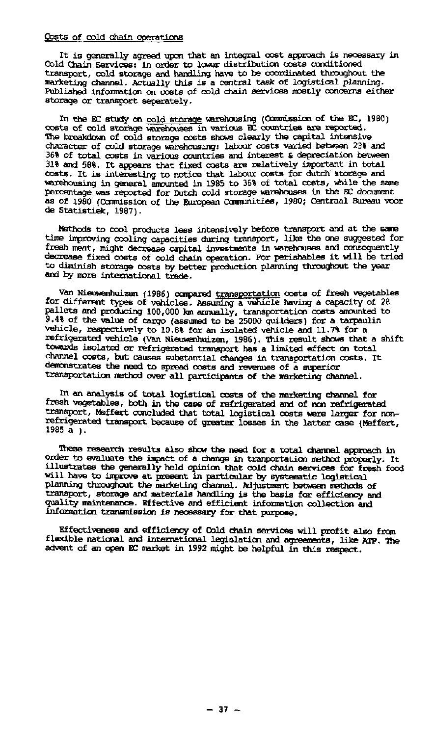#### Costs of cold chain operations

It is generally agreed upon that an integral cost approach is necessary in Cold Chain Services: in order to lower distribution costs conditioned transport, cold storage and handling have to be coordinated throughout the marketing channel. Actually this is a central task of logistical planning. Published information on costs of cold chain services mostly concerns either storage or transport separately.

In the BC study on cold storage warehousing (Commission of the EC, 1980) costs of cold storage warehouses in various EC countries are reported. The breakdown of cold storage costs shows clearly the capital intensive character of cold storage warehousing: labour costs varied between 23% and 36% of total costs in various countries and interest & depreciation between 31% and 58%. It appears that fixed costs are relatively important in total costs. It is interesting to notice that labour costs for dutch storage and warehousing in general amounted in 1985 to 36% of total costs, while the same percentage was reported for Dutch cold storage warehouses in the BC document as of 1980 (Commission of the European Communities, 1980; Centraal Bureau voor de Statistiek, 1987).

Methods to cool products less intensively before transport and at the same time improving cooling capacities during transport, like the one suggested for fresh meat, might decrease capital investments in warehouses and consequently decrease fixed costs of cold chain operation. For perishables it will be tried to diminish storage costs by better production planning throughout the year and by more international trade.

Van Nieuwenhuizen (1986) compared transportation costs of fresh vegetables for different types of vehicles. Assuming a vehicle having a capacity of 28 pailets and producing  $100,000$  km annually, transportation costs am 9.4% of the value of cargo (assumed to be 25000 guilders) fo vehicle, respectively to 10.8% for an isolated vehicle and 11.7% for a refrigerated vehicle (Van Nieuwenhuizen, 1986). This result shows that a shift towards isolated or refrigerated transport has a limited effect on total channel costs, but causes substantial changes in transportation costs. It demonstrates the need to spread costs and revenues of a superior transportation method over all participants of the marketing channel.

In an analysis of total logistical costs of the marketing channel for fresh vegetables, both in the case of refrigerated and of nan refrigerated transport, Maffert concluded that total logistical costs were larger for nonrefrigerated transport because of greater losses in the latter case<br>1985 a v 1985 a ).

These research results also show the need for a total channel approach in order to evaluate the impact of a change in tranportatian method properly. It illustrates the generally held opinion that cold chain services for fresh food will have to improve at present in particular by systematic logi<br>planning throughout the marketing channel. Adjustment between me transport, storage and materials handling is the basis for efficiency and quality maintenance. Effective and efficient information collection and information transmission is necessary for that purpose.

Effectiveness and efficiency of Cold chain services will profit also from flexible national and international legislation and agreements, like ATP. The advent of an open EC market in 1992 might be helpful in this respect.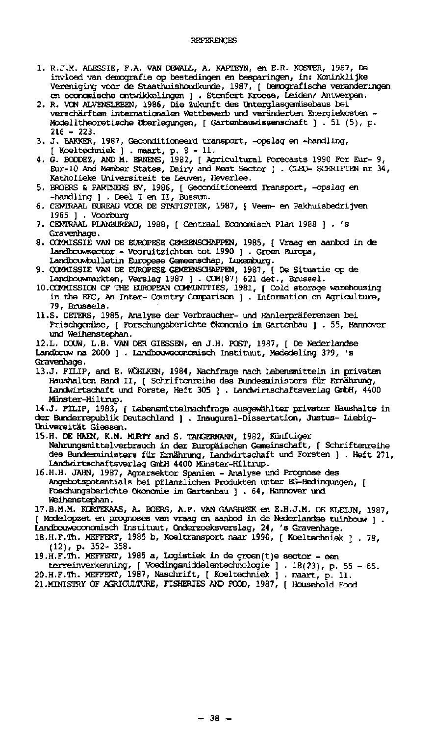#### REFERENCES

- 1. R.J.M. ALESSIE, F.A. VAN DEWALL, A. KAPTEYN, en E.R. KOSTER, 1987, Da invloed van demografie op bestedingen en besparingen, in: Koninklijke Vereniging voor de Staathuishoudkunde, 1987, [ Demografische veranderingen en economische ontwikkelingen ] . Stenfert Kroese, Leiden/ An
- 2. R. VON ALVENSLEBEN, 1986, Die Zukunft des Unterglasgemüs verschärftem internationalen Wettbewerb und veränderten Energiekosten - Modelltheoretische Überlegungen, [ Gartenbauwissenschaft ) . 51 (5), p.  $216 - 223$ .
- 3. J. BAKKER, 1987, Geconditioneerd transport, -opslag en -handling, [ Koeltechniek ) . maart, p. 8-11 .
- 4. G. BODDEZ, AND M. ERNENS, 1982, [ Agricultural Forecasts 199 Eur-10 And Member States, Dairy and Meat Sector ] . CLEO- SCHRIFTEN nr 34, Katholieke Universiteit te Leuven, Heverlee.
- 5. BROERS & PARTNERS BV, 1986, [ Geconditioneerd Transport, --handling ] . Deel I en II,  $\overline{B}$
- 6. CENTRAAL BUREAU VOOR DE STATISTIEK, 1987, [ Veem- en Pakhuisbedrijven 1985 ] . Voorburg
- 7. CENTRAAL PLANBUREAU, 1988, [ Centraal Economisch Plan 1988 ] . 's Gravenhage.
- 8. COMMISSIE VAN DE EUROPESE GEMEENSCHAPPEN, 1985, [ Vraag en aanbod in de landbouwsector - Vooruitzichten tot 1990 ] . Groen Europa, Landbouwbulletin Europese Gemeenschap, Luxemburg.
- 9. COMMISSIE VAN DE EUROPESE GEMEENSCHAPPEN, 1987, [ De Situatie op de Landbouwmarkten, Verslag 1987 ] . COM(87) 621 def., Brussel.
- 10.COMMISSION OF THE EUROPEAN COMMUNITIES, 1981, [ Cold storage warehousing in the EEC, An Inter- Country Comparison ] . Information on Agriculture, 79, Brussels.
- U.S. DETERS, 1985, Analyse der Verbraucher- und Hanlerpräferenzen bei Frischgemüse, [ Forschungsberichte Ökonomie im Gartenbau ] . 55, Hannover und Weihenstephan.

12.L. DOUW, L.B. VAN DER GIESSEN, en J.H. POST, 1987, [ De Nederlandse Landbouw na 2000 ] . Landbouweconomisch Instituut, Mededeling 379, 's Gravenhage.

13.J. FILIP, and E. WOHLKEN, 1984, Nachfrage nach Lebensmitteln in privaten Haushalten Band II, [ Schriftenreihe des Bundesministers für Ernährung, Landwirtschaft und Forste, Heft 305 ] . Landwirtschaftsverlag GmbH, 4400 Münster-Hiltrup.

14.J. FILIP, 1983, [ Lebensmittelnachfrage ausgewählter privater Haushalte in der Bunderrepublik Deutschland ] . Inaugural-Dissertation, Justus- Liebig-Universität Giessen.

- 15.H. DE HAEN, K.N. MURTY and S. TANGERMANN, 1982, Künftiger Nahrungsmittelverbrauch in der Europäischen Gemeinschaft, [ Schriftenreihe des Bundesministers für Ernährung, Landwirtschaft und Forsten ] . Heft 271, Landwirtschaftsverlag GmbH 4400 Münster-Hiltrup.
- 16.H.H. JAHN, 1987, Agrarsektor Spanien Analyse und Prognose des Angebotspotentials bei pflanzlichen Produkten unter EG-Bedingungen, [ Foschungsberichte Ökonomie im Gartenbau ] .64 , Hannover und Weihenstephan.

17.B.M.M. KORTEKAAS, A. BOERS, A.F. VAN GAASBEEK en E.H.J.M. DE KLEIJN, 1987, [ Mcdelopzet en prognoses van vraag en aanbod in de Nederlandse tuinbouw ] . Larribouweconomisch Instituut, Onderzoeksverslag, 24, 's Gravenhage.

18.H.F.Th. MEKKERT, 1985 b, Koeltransport naar 1990, [ Koeltechniek ] . 78, (12), p. 352- 358.

- 19.H.F.Th. MEFFERT, 1985 a, Logistiek in de groen(t)e sector een
- terreinverkenning, [ Voedingsmiddelentechnologie ] . 18(23), p. 20.H.F.Th. MEFFERT, 1987, Naschrift, [ Koeltechniek ] . maa
- 21 .MINISTRY OF AGRICULTURE, FISHERIES AND FOOD, 1987, [ Hous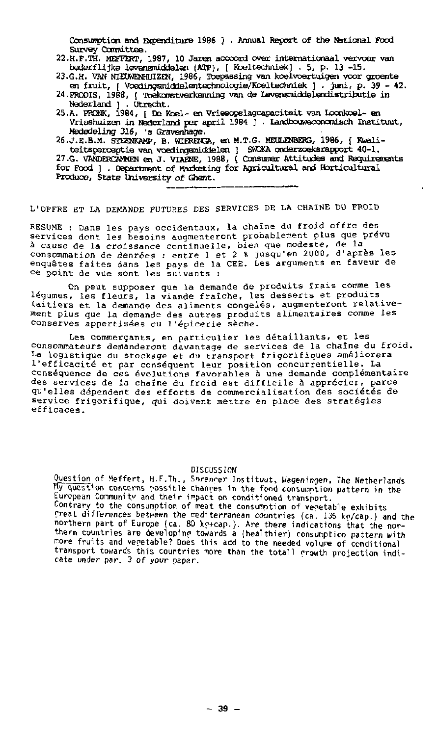Consuirption and Expenditure 1986 ] . Annual Report of the National Food Survey Committee.

- 22.H.F.TH. MEFFERT, 1987, 10 Jaren accoord over internationaa l vervoer van bederflijke levensmiddelen (ATP), [ Koeltechniek] . 5, p. 13 -15.
- 23.G.H. VAN NIEUWENHUIZEN, 1986, Toepassing van koelvoertuigen voor groente<br>en fruit,  $\overline{1}$  Voedingsmiddelentechnologie/Koeltechniek ? . juni, p. 39 42. en fruit, [ Voedingsmiddelentechnologie/Koeltechniek ] . juni, p. 39 .
- 24.PRODIS, 1988, [ Toekomstverkenning van de Levensmiddelendistributie in Nederland ] . Utrecht.
- 25.A. PRONK, 1984, [ De Koel- en Vriesopslagcapaciteit van loonkoel- en Vrieshuizen in Nederland per april 1984 ] . Lancibouweconomisch Instituut, Mededeling 316, 's Qravenhage.
- 26.J.E.B.M. STEENKAMP, B. WIERENGA, en M.T.G. MEULENBERG, 1986, [ Kwaliteitsperceptie van voedingsmiddelen ] SWOKA onderzoeksrapport 40  $27.$ G. VANDERCAMMEN en J. VIAENE,  $1988$ , [ Consumer Attitudes and Require for Food ] . Department of Marketing for Agricultural and Iforticultural Produce, State University of Ghent.

L'OFFRE ET LA DEMANDE FUTURES DES SERVICES DE LA CHAINE DU FROID

RESUME : Dans les pays occidentaux, la chaîne du froid offre services dont les besoins augmenteront probablement plus que pr à cause de la croissance continuelle, bien que modeste, d consommation de denrées : entre 1 et 2 % jusqu'en 2000, d'aprè enquêtes faites dans les pays de la CEE. Les arguments en fave ce point de vue sont les suivants :

On peut supposer que la demande de produits frais comme les légumes, les fleurs, la viande fraîche, les desserts et produits laitiers et la demande des aliments congelés, augmenteront relativement plus que la demande des autres produits alimentaires comme conserves appertisées ou l'épicerie sèch

Les commerçants, en particulier les détaillants, et les consommateurs demanderont davantage de services de la chaîne du froid. La logistique du stockage et du transport frigorifiques améliorera l'efficacité et par conséquent leur position concurrentielle. La conséquence de ces évolutions favorables à une demande complémentaire des services de la chaîne du froid est difficile à apprécier, parce qu'elles dépendent des efforts de commercialisation des sociétés de service frigorifique, qui doivent mettre en place des stratégies efficaces .

**DISCUSSION** 

Question of Meffert, H.F.Th., Sorencer Instituut, Wageningen, The Netherlands TTy question concerns possible chanres in the food consunption pattern in the European Community and their impact on conditioned transport. Contrary to the consumption of rreat the consumption of vegetable exhibits freat differences between the rediterranean countries (ca. 135 kp/cap.) and the northern part of Europe (ca. 80 ko+cap.). Are there indications that the northern countries are developinp towards a (healthier) consumption pattern with more fruits and vegetable? Does this add to the needed volume of conditional transport towards this countries more than the totall growth projection indicate under par. 3 of your paper.